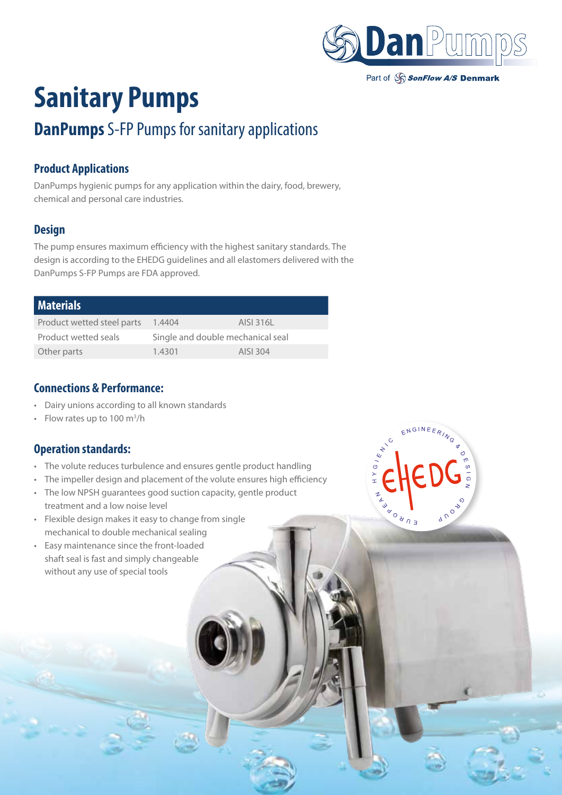

## **Sanitary Pumps**

### **DanPumps** S-FP Pumps for sanitary applications

#### **Product Applications**

DanPumps hygienic pumps for any application within the dairy, food, brewery, chemical and personal care industries.

#### **Design**

The pump ensures maximum efficiency with the highest sanitary standards. The design is according to the EHEDG guidelines and all elastomers delivered with the DanPumps S-FP Pumps are FDA approved.

| <b>Materials</b>           |                                   |           |
|----------------------------|-----------------------------------|-----------|
| Product wetted steel parts | 1.4404                            | AISI 316L |
| Product wetted seals       | Single and double mechanical seal |           |
| Other parts                | 1.4301                            | AISI 304  |

#### **Connections & Performance:**

- Dairy unions according to all known standards
- Flow rates up to  $100 \text{ m}^3/\text{h}$

#### **Operation standards:**

- The volute reduces turbulence and ensures gentle product handling
- The impeller design and placement of the volute ensures high efficiency
- The low NPSH guarantees good suction capacity, gentle product treatment and a low noise level
- Flexible design makes it easy to change from single mechanical to double mechanical sealing
- Easy maintenance since the front-loaded shaft seal is fast and simply changeable without any use of special tools

ENGINEE  $\frac{1}{\epsilon}$  $\frac{1}{\sqrt{2}}$